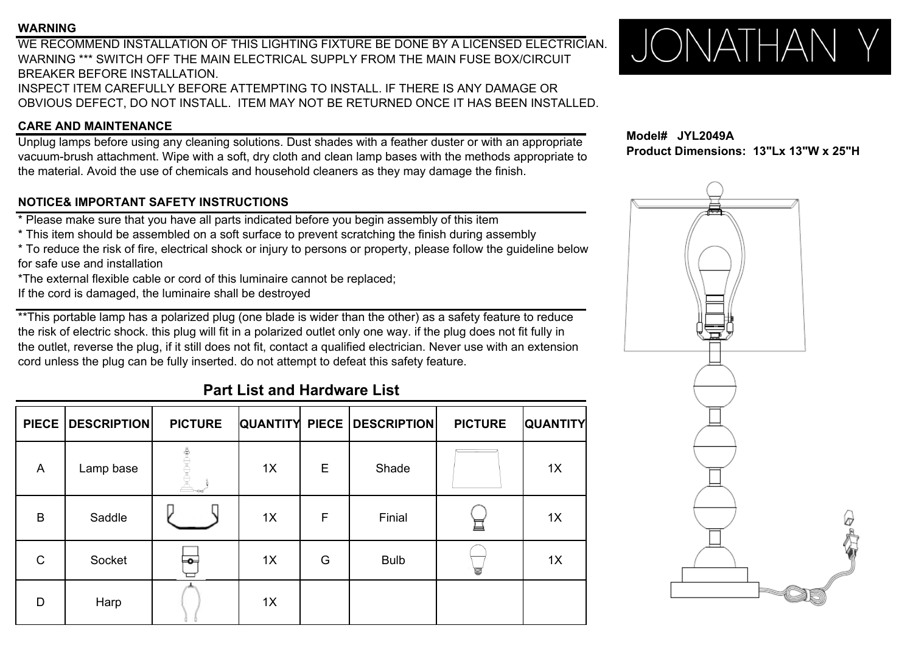#### **WARNING**

WE RECOMMEND INSTALLATION OF THIS LIGHTING FIXTURE BE DONE BY A LICENSED ELECTRICIAN.WARNING \*\*\* SWITCH OFF THE MAIN ELECTRICAL SUPPLY FROM THE MAIN FUSE BOX/CIRCUITBREAKER BEFORE INSTALLATION.INSPECT ITEM CAREFULLY BEFORE ATTEMPTING TO INSTALL. IF THERE IS ANY DAMAGE OR OBVIOUS DEFECT, DO NOT INSTALL. ITEM MAY NOT BE RETURNED ONCE IT HAS BEEN INSTALLED.

### **CARE AND MAINTENANCE**

Unplug lamps before using any cleaning solutions. Dust shades with a feather duster or with an appropriate vacuum-brush attachment. Wipe with a soft, dry cloth and clean lamp bases with the methods appropriate to the material. Avoid the use of chemicals and household cleaners as they may damage the finish.

### **NOTICE& IMPORTANT SAFETY INSTRUCTIONS**

\* Please make sure that you have all parts indicated before you begin assembly of this item

\* This item should be assembled on <sup>a</sup> soft surface to prevent scratching the finish during assembly

\* To reduce the risk of fire, electrical shock or injury to persons or property, please follow the guideline below for safe use and installation

\*The external flexible cable or cord of this luminaire cannot be replaced;

If the cord is damaged, the luminaire shall be destroyed

\*\*This portable lamp has a polarized plug (one blade is wider than the other) as a safety feature to reduce the risk of electric shock. this plug will fit in a polarized outlet only one way. if the plug does not fit fully in the outlet, reverse the plug, if it still does not fit, contact a qualified electrician. Never use with an extension cord unless the plug can be fully inserted. do not attempt to defeat this safety feature.

## **Part List and Hardware List**

| <b>PIECE</b> | <b>DESCRIPTION</b> | <b>PICTURE</b> |    |   | QUANTITY PIECE   DESCRIPTION | <b>PICTURE</b> | <b>QUANTITY</b> |
|--------------|--------------------|----------------|----|---|------------------------------|----------------|-----------------|
| A            | Lamp base          |                | 1X | Е | Shade                        |                | 1X              |
| B            | Saddle             |                | 1X | F | Finial                       |                | 1X              |
| $\mathsf{C}$ | Socket             | ⊨о⊣            | 1X | G | <b>Bulb</b>                  | U              | 1X              |
| D            | Harp               |                | 1X |   |                              |                |                 |



**Model# JYL2049AProduct Dimensions: 13"Lx 13"W x 25"H**